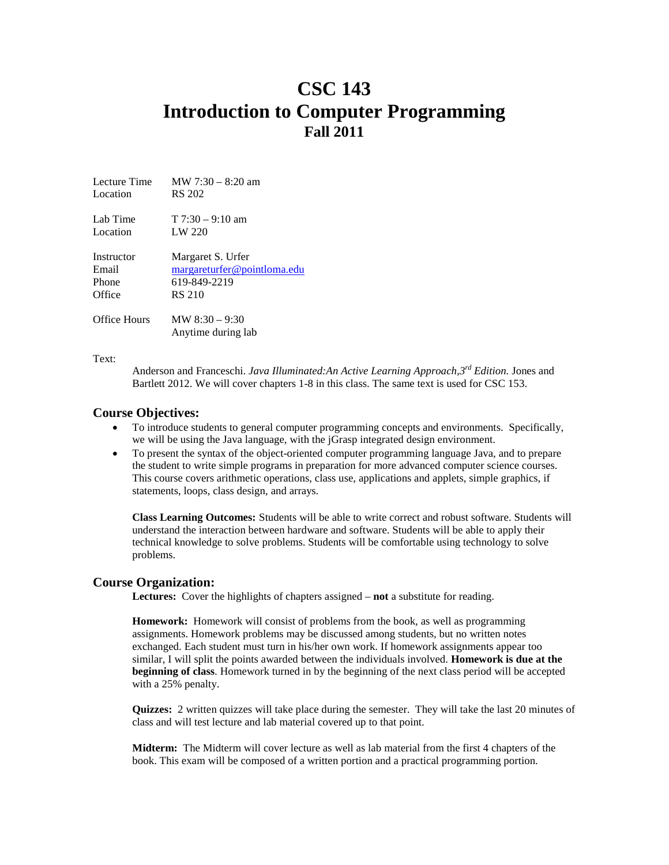# **CSC 143 Introduction to Computer Programming Fall 2011**

| Lecture Time | MW $7:30 - 8:20$ am                    |
|--------------|----------------------------------------|
| Location     | RS 202                                 |
| Lab Time     | $T$ 7:30 – 9:10 am                     |
| Location     | LW 220                                 |
| Instructor   | Margaret S. Urfer                      |
| Email        | margareturfer@pointloma.edu            |
| Phone        | 619-849-2219                           |
| Office       | <b>RS 210</b>                          |
| Office Hours | MW $8:30 - 9:30$<br>Anytime during lab |

Text:

Anderson and Franceschi. *Java Illuminated:An Active Learning Approach,3rd Edition.* Jones and Bartlett 2012. We will cover chapters 1-8 in this class. The same text is used for CSC 153.

## **Course Objectives:**

- To introduce students to general computer programming concepts and environments. Specifically, we will be using the Java language, with the jGrasp integrated design environment.
- To present the syntax of the object-oriented computer programming language Java, and to prepare the student to write simple programs in preparation for more advanced computer science courses. This course covers arithmetic operations, class use, applications and applets, simple graphics, if statements, loops, class design, and arrays.

**Class Learning Outcomes:** Students will be able to write correct and robust software. Students will understand the interaction between hardware and software. Students will be able to apply their technical knowledge to solve problems. Students will be comfortable using technology to solve problems.

## **Course Organization:**

**Lectures:** Cover the highlights of chapters assigned – **not** a substitute for reading.

**Homework:** Homework will consist of problems from the book, as well as programming assignments. Homework problems may be discussed among students, but no written notes exchanged. Each student must turn in his/her own work. If homework assignments appear too similar, I will split the points awarded between the individuals involved. **Homework is due at the beginning of class**. Homework turned in by the beginning of the next class period will be accepted with a 25% penalty.

**Quizzes:** 2 written quizzes will take place during the semester. They will take the last 20 minutes of class and will test lecture and lab material covered up to that point.

**Midterm:** The Midterm will cover lecture as well as lab material from the first 4 chapters of the book. This exam will be composed of a written portion and a practical programming portion.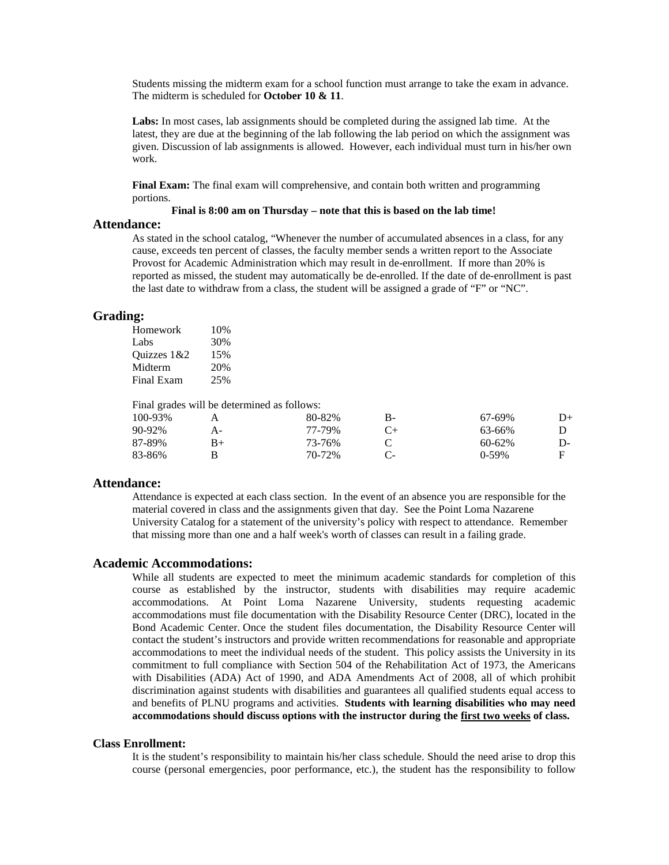Students missing the midterm exam for a school function must arrange to take the exam in advance. The midterm is scheduled for **October 10 & 11**.

**Labs:** In most cases, lab assignments should be completed during the assigned lab time. At the latest, they are due at the beginning of the lab following the lab period on which the assignment was given. Discussion of lab assignments is allowed. However, each individual must turn in his/her own work.

**Final Exam:** The final exam will comprehensive, and contain both written and programming portions.

### **Final is 8:00 am on Thursday – note that this is based on the lab time!**

#### **Attendance:**

As stated in the school catalog, "Whenever the number of accumulated absences in a class, for any cause, exceeds ten percent of classes, the faculty member sends a written report to the Associate Provost for Academic Administration which may result in de-enrollment. If more than 20% is reported as missed, the student may automatically be de-enrolled. If the date of de-enrollment is past the last date to withdraw from a class, the student will be assigned a grade of "F" or "NC".

#### **Grading:**

Homework 10% Labs 30% Ouizzes  $1&2$  15% Midterm 20% Final Exam 25%

Final grades will be determined as follows:

| 100-93%     |      | 80-82% | В- | 67-69%      | D+ |
|-------------|------|--------|----|-------------|----|
| $90 - 92\%$ | А-   | 77-79% |    | 63-66%      |    |
| 87-89%      | $B+$ | 73-76% |    | $60 - 62\%$ | D- |
| 83-86%      |      | 70-72% |    | 0-59%       |    |

#### **Attendance:**

Attendance is expected at each class section. In the event of an absence you are responsible for the material covered in class and the assignments given that day. See the Point Loma Nazarene University Catalog for a statement of the university's policy with respect to attendance. Remember that missing more than one and a half week's worth of classes can result in a failing grade.

#### **Academic Accommodations:**

While all students are expected to meet the minimum academic standards for completion of this course as established by the instructor, students with disabilities may require academic accommodations. At Point Loma Nazarene University, students requesting academic accommodations must file documentation with the Disability Resource Center (DRC), located in the Bond Academic Center. Once the student files documentation, the Disability Resource Center will contact the student's instructors and provide written recommendations for reasonable and appropriate accommodations to meet the individual needs of the student. This policy assists the University in its commitment to full compliance with Section 504 of the Rehabilitation Act of 1973, the Americans with Disabilities (ADA) Act of 1990, and ADA Amendments Act of 2008, all of which prohibit discrimination against students with disabilities and guarantees all qualified students equal access to and benefits of PLNU programs and activities. **Students with learning disabilities who may need accommodations should discuss options with the instructor during the first two weeks of class.**

#### **Class Enrollment:**

It is the student's responsibility to maintain his/her class schedule. Should the need arise to drop this course (personal emergencies, poor performance, etc.), the student has the responsibility to follow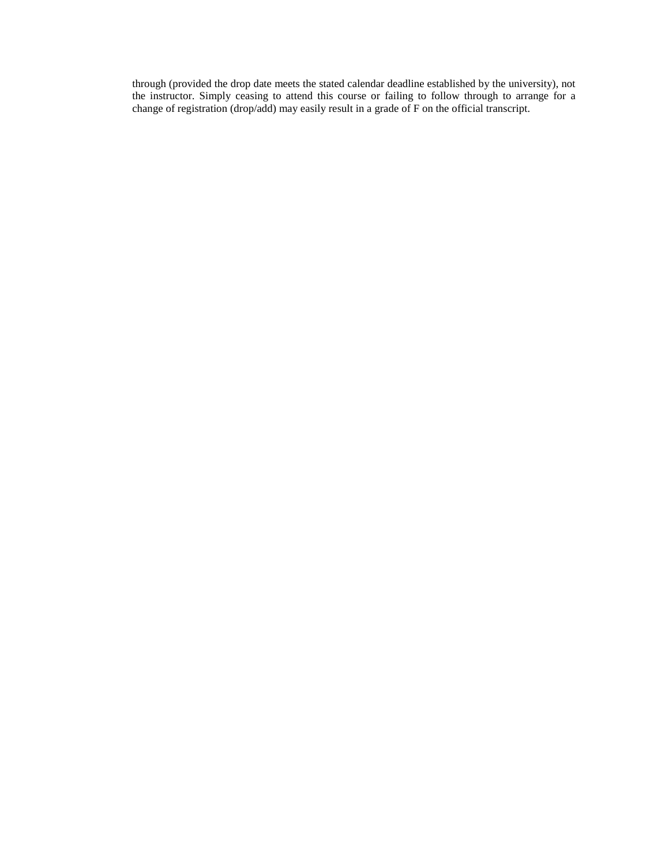through (provided the drop date meets the stated calendar deadline established by the university), not the instructor. Simply ceasing to attend this course or failing to follow through to arrange for a change of registration (drop/add) may easily result in a grade of F on the official transcript.